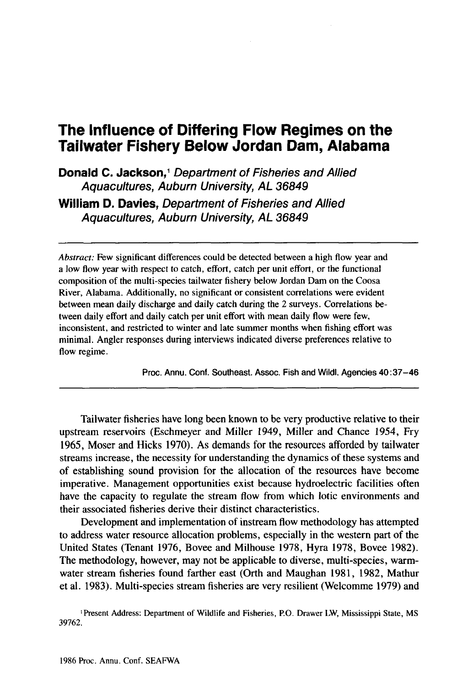# **The Influence of Differing Flow Regimes on the Tailwater Fishery Below Jordan Dam, Alabama**

**Donald C. Jackson,<sup>1</sup>** Department of Fisheries and Allied Aquacultures, Auburn University, AL 36849 **William D. Davies,** Department of Fisheries and Allied

Aquacultures, Auburn University, AL 36849

*Abstract:* Few significant differences could be detected between a high flow year and a low flow year with respect to catch, effort, catch per unit effort, or the functional composition of the multi-species tailwater fishery below Jordan Dam on the Coosa River, Alabama. Additionally, no significant or consistent correlations were evident between mean daily discharge and daily catch during the 2 surveys. Correlations between daily effort and daily catch per unit effort with mean daily flow were few, inconsistent, and restricted to winter and late summer months when fishing effort was minimal. Angler responses during interviews indicated diverse preferences relative to flow regime.

Proc. Annu. Conf. Southeast. Assoc. Fish and Wildl. Agencies 40:37-46

Tailwater fisheries have long been known to be very productive relative to their upstream reservoirs (Eschmeyer and Miller 1949, Miller and Chance 1954, Fry 1965, Moser and Hicks 1970). As demands for the resources afforded by tailwater streams increase, the necessity for understanding the dynamics of these systems and of establishing sound provision for the allocation of the resources have become imperative. Management opportunities exist because hydroelectric facilities often have the capacity to regulate the stream flow from which lotic environments and their associated fisheries derive their distinct characteristics.

Development and implementation of instream flow methodology has attempted to address water resource allocation problems, especially in the western part of the United States (Tenant 1976, Bovee and Milhouse 1978, Hyra 1978, Bovee 1982). The methodology, however, may not be applicable to diverse, multi-species, warmwater stream fisheries found farther east (Orth and Maughan 1981, 1982, Mathur et al. 1983). Multi-species stream fisheries are very resilient (Welcomme 1979) and

<sup>I</sup> Present Address: Department of Wildlife and Fisheries, P.O. Drawer LW, Mississippi State, MS 39762.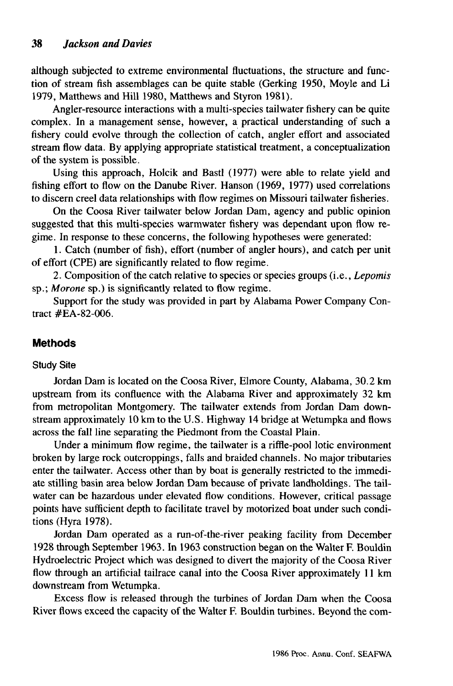although subjected to extreme environmental fluctuations, the structure and function of stream fish assemblages can be quite stable (Gerking 1950, Moyle and Li 1979, Matthews and Hill 1980, Matthews and Styron 1981).

Angler-resource interactions with a mUlti-species tailwater fishery can be quite complex. In a management sense, however, a practical understanding of such a fishery could evolve through the collection of catch, angler effort and associated stream flow data. By applying appropriate statistical treatment, a conceptualization of the system is possible.

Using this approach, Holcik and Bastl (1977) were able to relate yield and fishing effort to flow on the Danube River. Hanson (1969, 1977) used correlations to discern creel data relationships with flow regimes on Missouri tailwater fisheries.

On the Coosa River tailwater below Jordan Dam, agency and public opinion suggested that this mUlti-species warmwater fishery was dependant upon flow regime. In response to these concerns, the following hypotheses were generated:

1. Catch (number of fish), effort (number of angler hours), and catch per unit of effort (CPE) are significantly related to flow regime.

2. Composition of the catch relative to species or species groups (i.e., *Lepomis* sp.; *Morone* sp.) is significantly related to flow regime.

Support for the study was provided in part by Alabama Power Company Contract #EA-82-006.

# **Methods**

#### Study Site

Jordan Dam is located on the Coosa River, Elmore County, Alabama, 30.2 km upstream from its confluence with the Alabama River and approximately 32 km from metropolitan Montgomery. The tailwater extends from Jordan Dam downstream approximately 10 km to the U.S. Highway 14 bridge at Wetumpka and flows across the fall line separating the Piedmont from the Coastal Plain.

Under a minimum flow regime, the tailwater is a riffle-pool lotic environment broken by large rock outcroppings, falls and braided channels. No major tributaries enter the tailwater. Access other than by boat is generally restricted to the immediate stilling basin area below Jordan Dam because of private landholdings. The tailwater can be hazardous under elevated flow conditions. However, critical passage points have sufficient depth to facilitate travel by motorized boat under such conditions (Hyra 1978).

Jordan Dam operated as a run-of-the-river peaking facility from December 1928 through September 1963. In 1963 construction began on the Walter F. Bouldin Hydroelectric Project which was designed to divert the majority of the Coosa River flow through an artificial tailrace canal into the Coosa River approximately 11 km downstream from Wetumpka.

Excess flow is released through the turbines of Jordan Dam when the Coosa River flows exceed the capacity of the Walter F. Bouldin turbines. Beyond the com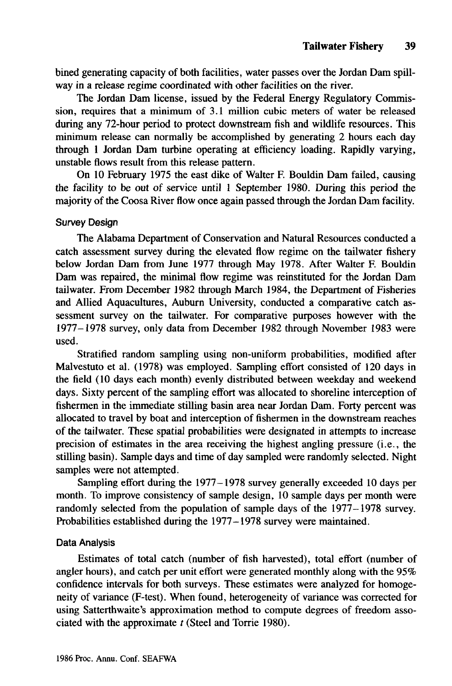bined generating capacity of both facilities, water passes over the Jordan Dam spillway in a release regime coordinated with other facilities on the river.

The Jordan Dam license, issued by the Federal Energy Regulatory Commission, requires that a minimum of 3.1 million cubic meters of water be released during any 72-hour period to protect downstream fish and wildlife resources. This minimum release can normally be accomplished by generating 2 hours each day through 1 Jordan Dam turbine operating at efficiency loading. Rapidly varying, unstable flows result from this release pattern.

On 10 February 1975 the east dike of Walter F. Bouldin Dam failed, causing the facility to be out of service until 1 September 1980. During this period the majority of the Coosa River flow once again passed through the Jordan Dam facility.

## Survey Design

The Alabama Department of Conservation and Natural Resources conducted a catch assessment survey during the elevated flow regime on the tailwater fishery below Jordan Dam from June 1977 through May 1978. After Walter F. Bouldin Dam was repaired, the minimal flow regime was reinstituted for the Jordan Dam tailwater. From December 1982 through March 1984, the Department of Fisheries and Allied Aquacultures, Auburn University, conducted a comparative catch assessment survey on the tailwater. For comparative purposes however with the 1977-1978 survey, only data from December 1982 through November 1983 were used.

Stratified random sampling using non-uniform probabilities, modified after Malvestuto et al. (1978) was employed. Sampling effort consisted of 120 days in the field (10 days each month) evenly distributed between weekday and weekend days. Sixty percent of the sampling effort was allocated to shoreline interception of fishermen in the immediate stilling basin area near Jordan Dam. Forty percent was allocated to travel by boat and interception of fishermen in the downstream reaches of the tailwater. These spatial probabilities were designated in attempts to increase precision of estimates in the area receiving the highest angling pressure (i.e., the stilling basin). Sample days and time of day sampled were randomly selected. Night samples were not attempted.

Sampling effort during the 1977-1978 survey generally exceeded 10 days per month. To improve consistency of sample design, 10 sample days per month were randomly selected from the population of sample days of the 1977-1978 survey. Probabilities established during the 1977-1978 survey were maintained.

## Data Analysis

Estimates of total catch (number of fish harvested), total effort (number of angler hours), and catch per unit effort were generated monthly along with the 95% confidence intervals for both surveys. These estimates were analyzed for homogeneity of variance (F-test). When found, heterogeneity of variance was corrected for using Satterthwaite's approximation method to compute degrees of freedom associated with the approximate *t* (Steel and Torrie 1980).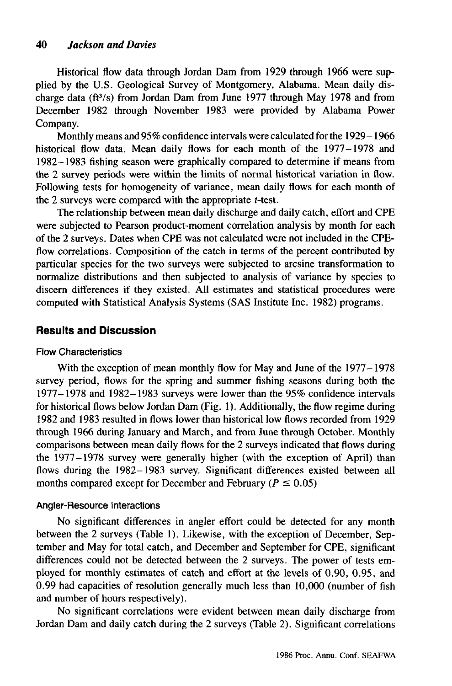Historical flow data through Jordan Dam from 1929 through 1966 were supplied by the U.S. Geological Survey of Montgomery, Alabama. Mean daily discharge data (ft<sup>3</sup>/s) from Jordan Dam from June 1977 through May 1978 and from December 1982 through November 1983 were provided by Alabama Power Company.

Monthly means and 95% confidence intervals were calculated for the 1929-1966 historical flow data. Mean daily flows for each month of the 1977-1978 and 1982-1983 fishing season were graphically compared to determine if means from the 2 survey periods were within the limits of normal historical variation in flow. Following tests for homogeneity of variance, mean daily flows for each month of the 2 surveys were compared with the appropriate *t-test.*

The relationship between mean daily discharge and daily catch, effort and CPE were subjected to Pearson product-moment correlation analysis by month for each of the 2 surveys. Dates when CPE was not calculated were not included in the CPEflow correlations. Composition of the catch in terms of the percent contributed by particular species for the two surveys were subjected to arcsine transformation to normalize distributions and then subjected to analysis of variance by species to discern differences if they existed. All estimates and statistical procedures were computed with Statistical Analysis Systems (SAS Institute Inc. 1982) programs.

## **Results and Discussion**

#### Flow Characteristics

With the exception of mean monthly flow for May and June of the 1977–1978 survey period, flows for the spring and summer fishing seasons during both the 1977-1978 and 1982-1983 surveys were lower than the 95% confidence intervals for historical flows below Jordan Dam (Fig. 1). Additionally, the flow regime during 1982 and 1983 resulted in flows lower than historical low flows recorded from 1929 through 1966 during January and March, and from June through October. Monthly comparisons between mean daily flows for the 2 surveys indicated that flows during the 1977-1978 survey were generally higher (with the exception of April) than flows during the 1982-1983 survey. Significant differences existed between all months compared except for December and February ( $P \le 0.05$ )

## Angler-Resource Interactions

No significant differences in angler effort could be detected for any month between the 2 surveys (Table 1). Likewise, with the exception of December, September and May for total catch, and December and September for CPE, significant differences could not be detected between the 2 surveys. The power of tests employed for monthly estimates of catch and effort at the levels of 0.90, 0.95, and 0.99 had capacities of resolution generally much less than 10,000 (number of fish and number of hours respectively).

No significant correlations were evident between mean daily discharge from Jordan Dam and daily catch during the 2 surveys (Table 2). Significant correlations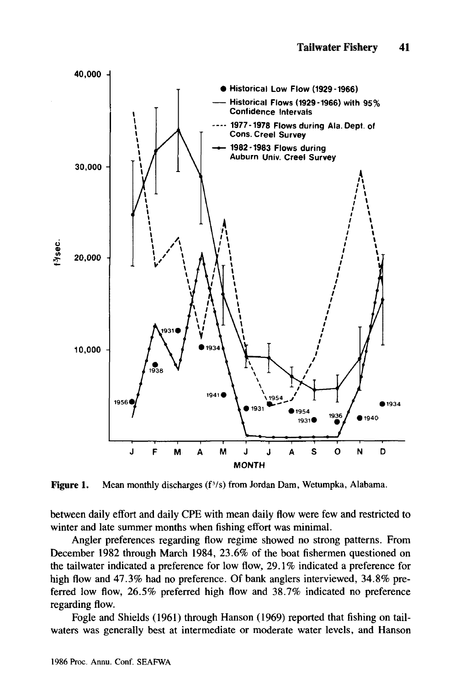

**Figure 1.** Mean monthly discharges  $(f^3/s)$  from Jordan Dam, Wetumpka, Alabama.

between daily effort and daily CPE with mean daily flow were few and restricted to winter and late summer months when fishing effort was minimal.

Angler preferences regarding flow regime showed no strong patterns. From December 1982 through March 1984, 23.6% of the boat fishermen questioned on the tailwater indicated a preference for low flow, 29.1 % indicated a preference for high flow and 47.3% had no preference. Of bank anglers interviewed, 34.8% preferred low flow, 26.5% preferred high flow and 38.7% indicated no preference regarding flow.

Fogle and Shields (1961) through Hanson (1969) reported that fishing on tailwaters was generally best at intermediate or moderate water levels, and Hanson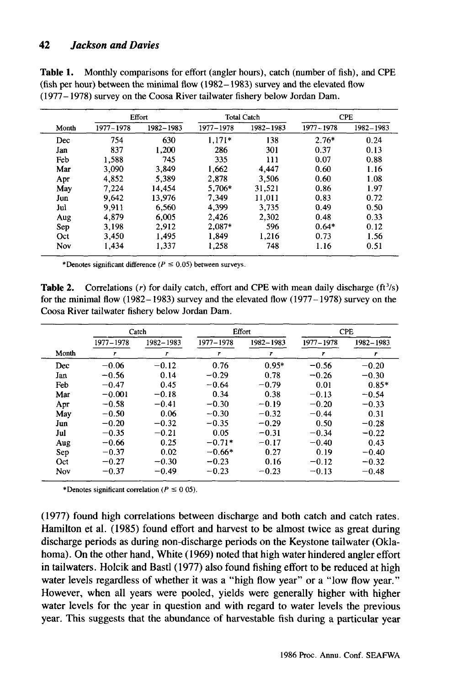## *42 Jackson and Davies*

| <b>Table 1.</b> Monthly comparisons for effort (angler hours), catch (number of fish), and CPE |
|------------------------------------------------------------------------------------------------|
| (fish per hour) between the minimal flow $(1982 - 1983)$ survey and the elevated flow          |
| (1977–1978) survey on the Coosa River tailwater fishery below Jordan Dam.                      |

| Month | <b>Effort</b> |           | <b>Total Catch</b> |           | <b>CPE</b>  |           |
|-------|---------------|-----------|--------------------|-----------|-------------|-----------|
|       | 1977 - 1978   | 1982-1983 | 1977-1978          | 1982-1983 | 1977 - 1978 | 1982-1983 |
| Dec   | 754           | 630       | $1.171*$           | 138       | $2.76*$     | 0.24      |
| Jan   | 837           | 1.200     | 286                | 301       | 0.37        | 0.13      |
| Feb   | 1.588         | 745       | 335                | 111       | 0.07        | 0.88      |
| Mar   | 3,090         | 3.849     | 1,662              | 4,447     | 0.60        | 1.16      |
| Apr   | 4.852         | 5.389     | 2.878              | 3.506     | 0.60        | 1.08      |
| May   | 7,224         | 14.454    | 5.706*             | 31.521    | 0.86        | 1.97      |
| Jun   | 9.642         | 13.976    | 7.349              | 11,011    | 0.83        | 0.72      |
| Jul   | 9.911         | 6.560     | 4.399              | 3,735     | 0.49        | 0.50      |
| Aug   | 4.879         | 6.005     | 2,426              | 2,302     | 0.48        | 0.33      |
| Sep   | 3.198         | 2.912     | 2.087*             | 596       | $0.64*$     | 0.12      |
| Oct   | 3.450         | 1.495     | 1,849              | 1.216     | 0.73        | 1.56      |
| Nov   | 1.434         | 1.337     | 1.258              | 748       | 1.16        | 0.51      |

\*Denotes significant difference ( $P \le 0.05$ ) between surveys.

**Table 2.** Correlations (r) for daily catch, effort and CPE with mean daily discharge  $(ft^3/s)$ for the minimal flow  $(1982 - 1983)$  survey and the elevated flow  $(1977 - 1978)$  survey on the Coosa River tailwater fishery below Jordan Dam.

|       |           | Catch     | Effort    |           |             | <b>CPE</b> |
|-------|-----------|-----------|-----------|-----------|-------------|------------|
|       | 1977-1978 | 1982-1983 | 1977-1978 | 1982-1983 | 1977 - 1978 | 1982-1983  |
| Month | r         | r         | r         | r         | r           | r          |
| Dec   | $-0.06$   | $-0.12$   | 0.76      | $0.95*$   | $-0.56$     | $-0.20$    |
| Jan   | $-0.56$   | 0.14      | $-0.29$   | 0.78      | $-0.26$     | $-0.30$    |
| Feb   | $-0.47$   | 0.45      | $-0.64$   | $-0.79$   | 0.01        | $0.85*$    |
| Mar   | $-0.001$  | $-0.18$   | 0.34      | 0.38      | $-0.13$     | $-0.54$    |
| Apr   | $-0.58$   | $-0.41$   | $-0.30$   | $-0.19$   | $-0.20$     | $-0.33$    |
| May   | $-0.50$   | 0.06      | $-0.30$   | $-0.32$   | $-0.44$     | 0.31       |
| Jun   | $-0.20$   | $-0.32$   | $-0.35$   | $-0.29$   | 0.50        | $-0.28$    |
| Jul   | $-0.35$   | $-0.21$   | 0.05      | $-0.31$   | $-0.34$     | $-0.22$    |
| Aug   | $-0.66$   | 0.25      | $-0.71*$  | $-0.17$   | $-0.40$     | 0.43       |
| Sep   | $-0.37$   | 0.02      | $-0.66*$  | 0.27      | 0.19        | $-0.40$    |
| Oct   | $-0.27$   | $-0.30$   | $-0.23$   | 0.16      | $-0.12$     | $-0.32$    |
| Nov   | $-0.37$   | $-0.49$   | $-0.23$   | $-0.23$   | $-0.13$     | $-0.48$    |

\*Denotes significant correlation ( $P \le 0$  05).

(1977) found high correlations between discharge and both catch and catch rates. Hamilton et al. (1985) found effort and harvest to be almost twice as great during discharge periods as during non-discharge periods on the Keystone tailwater (Oklahoma). On the other hand, White (1969) noted that high water hindered angler effort in tailwaters. Holcik and Bastl (1977) also found fishing effort to be reduced at high water levels regardless of whether it was a "high flow year" or a "low flow year." However, when all years were pooled, yields were generally higher with higher water levels for the year in question and with regard to water levels the previous year. This suggests that the abundance of harvestable fish during a particular year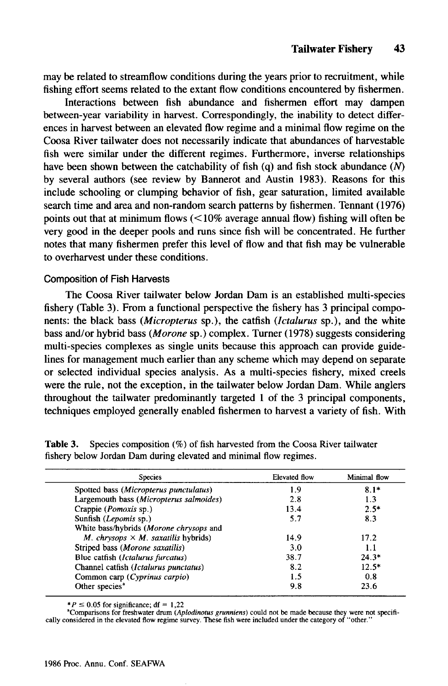may be related to streamflow conditions during the years prior to recruitment, while fishing effort seems related to the extant flow conditions encountered by fishermen.

Interactions between fish abundance and fishermen effort may dampen between-year variability in harvest. Correspondingly, the inability to detect differences in harvest between an elevated flow regime and a minimal flow regime on the Coosa River tailwater does not necessarily indicate that abundances of harvestable fish were similar under the different regimes. Furthermore, inverse relationships have been shown between the catchability of fish (q) and fish stock abundance  $(N)$ by several authors (see review by Bannerot and Austin 1983). Reasons for this include schooling or clumping behavior of fish, gear saturation, limited available search time and area and non-random search patterns by fishermen. Tennant (1976) points out that at minimum flows  $\left($  < 10% average annual flow) fishing will often be very good in the deeper pools and runs since fish will be concentrated. He further notes that many fishermen prefer this level of flow and that fish may be vulnerable to overharvest under these conditions.

#### Composition of Fish Harvests

The Coosa River tailwater below Jordan Dam is an established multi-species fishery (Table 3). From a functional perspective the fishery has 3 principal components: the black bass *(Micropterus* sp.), the catfish *(Ictalurus* sp.), and the white bass and/or hybrid bass *(Morone* sp.) complex. Turner (1978) suggests considering multi-species complexes as single units because this approach can provide guidelines for management much earlier than any scheme which may depend on separate or selected individual species analysis. As a multi-species fishery, mixed creels were the rule, not the exception, in the tailwater below Jordan Dam. While anglers throughout the tailwater predominantly targeted 1 of the 3 principal components, techniques employed generally enabled fishermen to harvest a variety of fish. With

| <b>Species</b>                             | <b>Elevated flow</b> | Minimal flow |
|--------------------------------------------|----------------------|--------------|
| Spotted bass (Micropterus punctulatus)     | 1.9                  | $8.1*$       |
| Largemouth bass (Micropterus salmoides)    | 2.8                  | 1.3          |
| Crappie ( <i>Pomoxis</i> sp.)              | 13.4                 | $2.5*$       |
| Sunfish (Lepomis sp.)                      | 5.7                  | 8.3          |
| White bass/hybrids (Morone chrysops and    |                      |              |
| M. chrysops $\times$ M. saxatilis hybrids) | 14.9                 | 17.2         |
| Striped bass (Morone saxatilis)            | 3.0                  | 1.1          |
| Blue catfish (Ictalurus furcatus)          | 38.7                 | $24.3*$      |
| Channel catfish (Ictalurus punctatus)      | 8.2                  | $12.5*$      |
| Common carp (Cyprinus carpio)              | 1.5                  | 0.8          |
| Other species <sup>a</sup>                 | 9.8                  | 23.6         |

Table 3. Species composition (%) of fish harvested from the Coosa River tailwater fishery below Jordan Dam during elevated and minimal flow regimes.

\*P  $\leq$  0.05 for significance; df = 1,22

<sup>a</sup>Comparisons for freshwater drum (Aplodinotus grunniens) could not be made because they were not specifically considered in the elevated flow regime survey. These fish were included under the category of "other."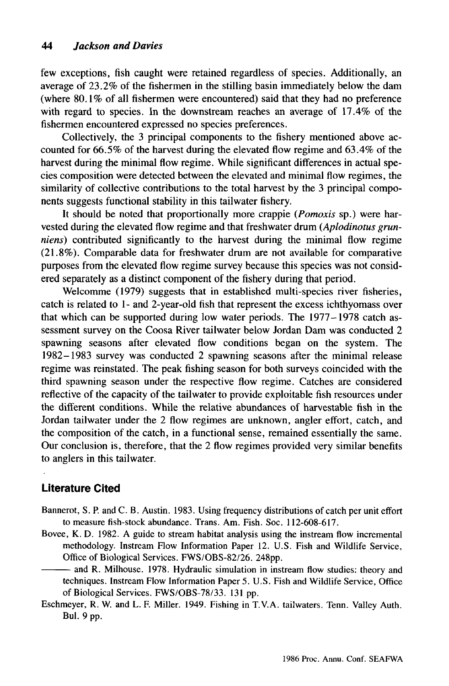few exceptions, fish caught were retained regardless of species. Additionally, an average of 23.2% of the fishermen in the stilling basin immediately below the dam (where 80.1% of all fishermen were encountered) said that they had no preference with regard to species. In the downstream reaches an average of 17.4% of the fishermen encountered expressed no species preferences.

Collectively, the 3 principal components to the fishery mentioned above accounted for 66.5% of the harvest during the elevated flow regime and 63.4% of the harvest during the minimal flow regime. While significant differences in actual species composition were detected between the elevated and minimal flow regimes, the similarity of collective contributions to the total harvest by the 3 principal components suggests functional stability in this tailwater fishery.

It should be noted that proportionally more crappie *(Pomoxis* sp.) were harvested during the elevated flow regime and that freshwater drum *(Aplodinotus grunniens)* contributed significantly to the harvest during the minimal flow regime (21.8%). Comparable data for freshwater drum are not available for comparative purposes from the elevated flow regime survey because this species was not considered separately as a distinct component of the fishery during that period.

Welcomme (1979) suggests that in established multi-species river fisheries, catch is related to 1- and 2-year-old fish that represent the excess ichthyomass over that which can be supported during low water periods. The 1977-1978 catch assessment survey on the Coosa River tailwater below Jordan Dam was conducted 2 spawning seasons after elevated flow conditions began on the system. The 1982-1983 survey was conducted 2 spawning seasons after the minimal release regime was reinstated. The peak fishing season for both surveys coincided with the third spawning season under the respective flow regime. Catches are considered reflective of the capacity of the tailwater to provide exploitable fish resources under the different conditions. While the relative abundances of harvestable fish in the Jordan tailwater under the 2 flow regimes are unknown, angler effort, catch, and the composition of the catch, in a functional sense, remained essentially the same. Our conclusion is, therefore, that the 2 flow regimes provided very similar benefits to anglers in this tailwater.

# **Literature Cited**

- Bannerot, S. P. and C. B. Austin. 1983. Using frequency distributions of catch per unit effort to measure fish-stock abundance. Trans. Am. Fish. Soc. 112-608-617.
- Bovee, K. D. 1982. A guide to stream habitat analysis using the instream flow incremental methodology. Instream Flow Information Paper 12. U.S. Fish and Wildlife Service, Office of Biological Services. FWS/OBS-82/26. 248pp.

-- and R. Milhouse. 1978. Hydraulic simulation in instream flow studies: theory and techniques. Instream Flow Information Paper 5. U. S. Fish and Wildlife Service, Office of Biological Services. FWS/OBS-78/33. 131 pp.

Eschmeyer, R. W. and L. F. Miller. 1949. Fishing in T.Y.A. tailwaters. Tenn. Valley Auth. Bul. 9 pp.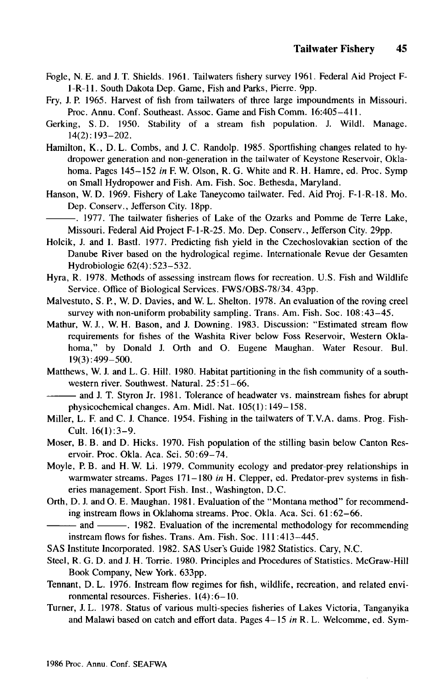- Fogle, N. E. and 1. T. Shields. 1961. Tailwaters fishery survey 1961. Federal Aid Project F-1-R-11. South Dakota Dep. Game, Fish and Parks, Pierre. 9pp.
- Fry, 1. P. 1965. Harvest of fish from tailwaters of three large impoundments in Missouri. Proc. Annu. Conf. Southeast. Assoc. Game and Fish Comm. 16:405-411.
- Gerking, S. D. 1950. Stability of a stream fish population. 1. Wildl. Manage. 14(2): 193-202.
- Hamilton, K., D. L. Combs, and 1. C. Randolp. 1985. Sportfishing changes related to hydropower generation and non-generation in the tailwater of Keystone Reservoir, Oklahoma. Pages 145-152 *in* F. W. Olson, R. G. White and R. H. Hamre, ed. Proc. Symp on Small Hydropower and Fish. Am. Fish. Soc. Bethesda, Maryland.
- Hanson, W. D. 1969. Fishery of Lake Taneycomo tailwater. Fed. Aid Proj. F-I-R-18. Mo. Dep. Conserv., Jefferson City. 18pp.
- ---. 1977. The tailwater fisheries of Lake of the Ozarks and Pomme de Terre Lake, Missouri. Federal Aid Project F-I-R-25. Mo. Dep. Conserv., Jefferson City. 29pp.
- Holcik, 1. and I. Bastl. 1977. Predicting fish yield in the Czechoslovakian section of the Danube River based on the hydrological regime. Internationale Revue der Gesamten Hydrobiologie 62(4):523-532.
- Hyra, R. 1978. Methods of assessing instream flows for recreation. U.S. Fish and Wildlife Service. Office of Biological Services. *FWS/OBS-78/34.* 43pp.
- Malvestuto, S. P., W. D. Davies, and W. L. Shelton. 1978. An evaluation of the roving creel survey with non-uniform probability sampling. Trans. Am. Fish. Soc. 108:43-45.
- Mathur, W. 1., W. H. Bason, and 1. Downing. 1983. Discussion: "Estimated stream flow requirements for fishes of the Washita River below Foss Reservoir, Western Oklahoma," by Donald 1. Orth and O. Eugene Maughan. Water Resour. Bul. 19(3): 499-500.
- Matthews, W. 1. and L. G. Hill. 1980. Habitat partitioning in the fish community of a southwestern river. Southwest. Natural. 25:51-66.
- $-$  and J. T. Styron Jr. 1981. Tolerance of headwater vs. mainstream fishes for abrupt physicochemical changes. Am. MidI. Nat. 105(1): 149-158.
- Miller, L. F. and C. 1. Chance. 1954. Fishing in the tailwaters of T. V.A. dams. Prog. Fish-Cult. 16(1):3-9.
- Moser, B. B. and D. Hicks. 1970. Fish population of the stilling basin below Canton Reservoir. Proc. Okla. Aca. Sci. 50:69-74.
- Moyle, P. B. and H. W. Li. 1979. Community ecology and predator-prey relationships in warmwater streams. Pages 171-180 *in* H. Clepper, ed. Predator-prev systems in fisheries management. Sport Fish. Inst., Washington, D.C.
- Orth, D. 1. and O. E. Maughan. 1981. Evaluation of the "Montana method" for recommending instream flows in Oklahoma streams. Proc. Okla. Aca. Sci. 61 :62-66.

--- and ---. 1982. Evaluation of the incremental methodology for recommending instream flows for fishes. Trans. Am. Fish. Soc. **111:413-445.**

- SAS Institute Incorporated. 1982. SAS User's Guide 1982 Statistics. Cary, N.C.
- Steel, R. G. D. and 1. H. Torrie. 1980. Principles and Procedures of Statistics. McGraw-Hili Book Company, New York. 633pp.
- Tennant, D. L. 1976. Instream flow regimes for fish, wildlife, recreation, and related environmental resources. Fisheries. 1(4):6-10.
- Turner, 1. L. 1978. Status of various multi-species fisheries of Lakes Victoria, Tanganyika and Malawi based on catch and effort data. Pages 4-15 *in* R. L. Welcomme, ed. Sym-